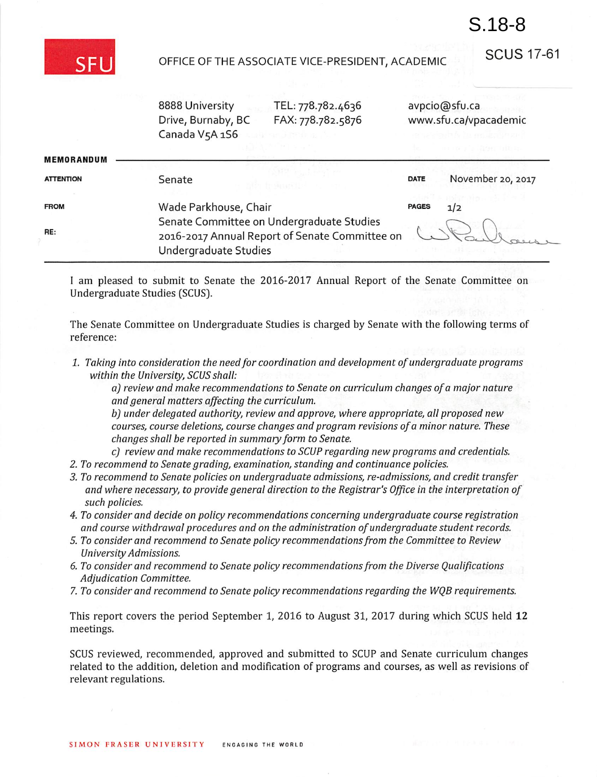

## OFFICE OF THE ASSOCIATE VICE-PRESIDENT, ACADEMIC

SCUS 17-61

S.18-8

| 8888 University    |
|--------------------|
| Drive, Burnaby, BC |
| Canada V5A 1S6     |

TEL: 778.782.4636 FAX: 778.782.5876 avpcio@sfu.ca www.sfu.ca/vpacademic

|                   |                                                                                                                      |              | na anta la Maatth (la zo |
|-------------------|----------------------------------------------------------------------------------------------------------------------|--------------|--------------------------|
| <b>MEMORANDUM</b> |                                                                                                                      |              |                          |
| <b>ATTENTION</b>  | Senate                                                                                                               | DATE         | November 20, 2017        |
| <b>FROM</b>       | Wade Parkhouse, Chair                                                                                                | <b>PAGES</b> | 1/2                      |
| RE:               | Senate Committee on Undergraduate Studies<br>2016-2017 Annual Report of Senate Committee on<br>Undergraduate Studies |              |                          |

I am pleased to submit to Senate the 2016-2017 Annual Report of the Senate Committee on Undergraduate Studies [SCUS).

The Senate Committee on Undergraduate Studies is charged by Senate with the following terms of reference:

1. Taking into consideration the need for coordination and development of undergraduate programs within the University, SCUS shall:

a) review and make recommendations to Senate on curriculum changes of a major nature and general matters affecting the curriculum.

b) under delegated authority, review and approve, where appropriate, all proposed new courses, course deletions, course changes and program revisions ofa minor nature. These changes shall be reported in summary form to Senate.

- c) review and make recommendations to SCUP regarding new programs and credentials.
- 2. To recommend to Senate grading, examination, standing and continuance policies.
- 3. To recommend to Senate policies on undergraduate admissions, re-admissions, and credit transfer and where necessary, to provide general direction to the Registrar's Office in the interpretation of such policies.
- 4. To consider and decide on policy recommendations concerning undergraduate course registration and course withdrawal procedures and on the administration of undergraduate student records.
- 5. To consider and recommend to Senate policy recommendationsfrom the Committee to Review University Admissions.
- 6. To consider and recommend to Senate policy recommendations from the Diverse Qualifications Adjudication Committee.
- 7. To consider and recommend to Senate policy recommendations regarding the WQB requirements.

This report covers the period September 1, 2016 to August 31, 2017 during which SCUS held 12 meetings.

SCUS reviewed, recommended, approved and submitted to SCUP and Senate curriculum changes related to the addition, deletion and modification of programs and courses, as well as revisions of relevant regulations.